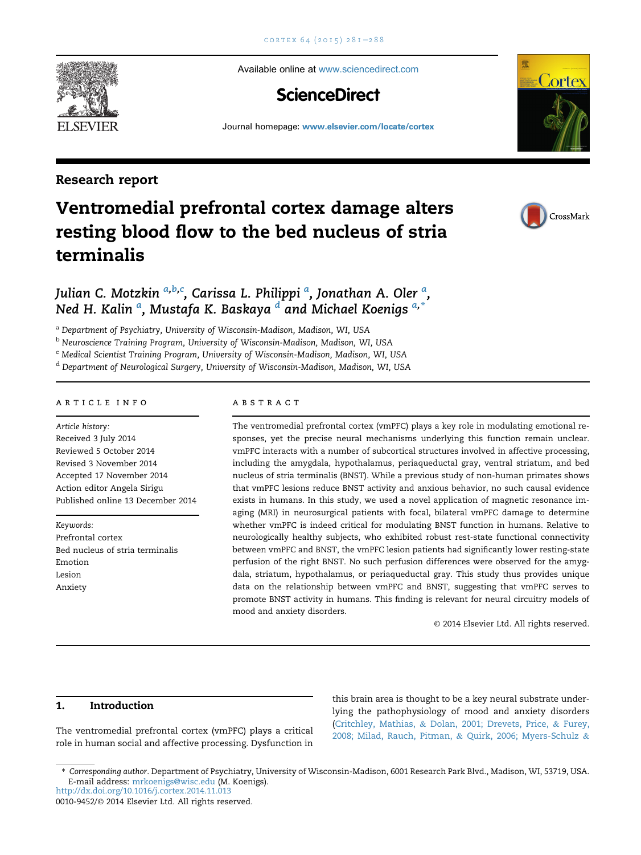Available online at [www.sciencedirect.com](www.sciencedirect.com/science/journal/00109452)

# **ScienceDirect**

Journal homepage: <www.elsevier.com/locate/cortex>

# Research report

# Ventromedial prefrontal cortex damage alters resting blood flow to the bed nucleus of stria terminalis



Cortex

# Julian C. Motzkin <sup>a,b,c</sup>, Carissa L. Philippi <sup>a</sup>, Jonathan A. Oler <sup>a</sup>, Ned H. Kalin <sup>a</sup>, Mustafa K. Baskaya <sup>d</sup> and Michael Koenigs <sup>a,\*</sup>

<sup>a</sup> Department of Psychiatry, University of Wisconsin-Madison, Madison, WI, USA

b Neuroscience Training Program, University of Wisconsin-Madison, Madison, WI, USA

<sup>c</sup> Medical Scientist Training Program, University of Wisconsin-Madison, Madison, WI, USA

<sup>d</sup> Department of Neurological Surgery, University of Wisconsin-Madison, Madison, WI, USA

#### article info

Article history: Received 3 July 2014 Reviewed 5 October 2014 Revised 3 November 2014 Accepted 17 November 2014 Action editor Angela Sirigu Published online 13 December 2014

Keywords: Prefrontal cortex Bed nucleus of stria terminalis Emotion Lesion Anxiety

#### abstract

The ventromedial prefrontal cortex (vmPFC) plays a key role in modulating emotional responses, yet the precise neural mechanisms underlying this function remain unclear. vmPFC interacts with a number of subcortical structures involved in affective processing, including the amygdala, hypothalamus, periaqueductal gray, ventral striatum, and bed nucleus of stria terminalis (BNST). While a previous study of non-human primates shows that vmPFC lesions reduce BNST activity and anxious behavior, no such causal evidence exists in humans. In this study, we used a novel application of magnetic resonance imaging (MRI) in neurosurgical patients with focal, bilateral vmPFC damage to determine whether vmPFC is indeed critical for modulating BNST function in humans. Relative to neurologically healthy subjects, who exhibited robust rest-state functional connectivity between vmPFC and BNST, the vmPFC lesion patients had significantly lower resting-state perfusion of the right BNST. No such perfusion differences were observed for the amygdala, striatum, hypothalamus, or periaqueductal gray. This study thus provides unique data on the relationship between vmPFC and BNST, suggesting that vmPFC serves to promote BNST activity in humans. This finding is relevant for neural circuitry models of mood and anxiety disorders.

© 2014 Elsevier Ltd. All rights reserved.

# 1. Introduction

The ventromedial prefrontal cortex (vmPFC) plays a critical role in human social and affective processing. Dysfunction in

this brain area is thought to be a key neural substrate underlying the pathophysiology of mood and anxiety disorders [\(Critchley, Mathias,](#page-6-0) & [Dolan, 2001; Drevets, Price,](#page-6-0) & [Furey,](#page-6-0) [2008; Milad, Rauch, Pitman,](#page-6-0) & [Quirk, 2006; Myers-Schulz](#page-6-0) &



<sup>\*</sup> Corresponding author. Department of Psychiatry, University of Wisconsin-Madison, 6001 Research Park Blvd., Madison, WI, 53719, USA. E-mail address: [mrkoenigs@wisc.edu](mailto:mrkoenigs@wisc.edu) (M. Koenigs).

<http://dx.doi.org/10.1016/j.cortex.2014.11.013>

<sup>0010-9452/</sup>© 2014 Elsevier Ltd. All rights reserved.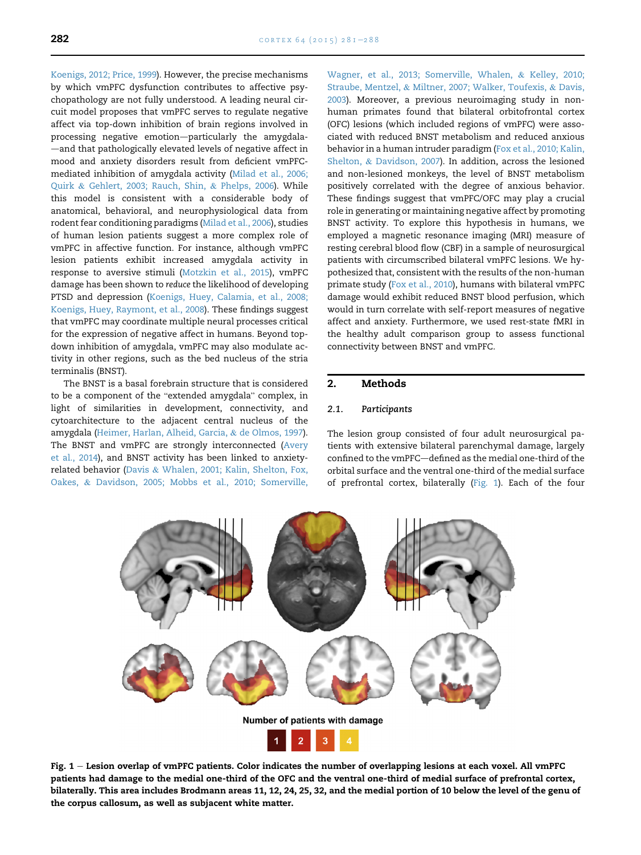<span id="page-1-0"></span>[Koenigs, 2012; Price, 1999\)](#page-6-0). However, the precise mechanisms by which vmPFC dysfunction contributes to affective psychopathology are not fully understood. A leading neural circuit model proposes that vmPFC serves to regulate negative affect via top-down inhibition of brain regions involved in processing negative emotion-particularly the amygdala--and that pathologically elevated levels of negative affect in mood and anxiety disorders result from deficient vmPFCmediated inhibition of amygdala activity ([Milad et al., 2006;](#page-7-0) [Quirk](#page-7-0) & [Gehlert, 2003; Rauch, Shin,](#page-7-0) & [Phelps, 2006\)](#page-7-0). While this model is consistent with a considerable body of anatomical, behavioral, and neurophysiological data from rodent fear conditioning paradigms [\(Milad et al., 2006\)](#page-7-0), studies of human lesion patients suggest a more complex role of vmPFC in affective function. For instance, although vmPFC lesion patients exhibit increased amygdala activity in response to aversive stimuli [\(Motzkin et al., 2015\)](#page-7-0), vmPFC damage has been shown to reduce the likelihood of developing PTSD and depression ([Koenigs, Huey, Calamia, et al., 2008;](#page-7-0) [Koenigs, Huey, Raymont, et al., 2008\)](#page-7-0). These findings suggest that vmPFC may coordinate multiple neural processes critical for the expression of negative affect in humans. Beyond topdown inhibition of amygdala, vmPFC may also modulate activity in other regions, such as the bed nucleus of the stria terminalis (BNST).

The BNST is a basal forebrain structure that is considered to be a component of the "extended amygdala" complex, in light of similarities in development, connectivity, and cytoarchitecture to the adjacent central nucleus of the amygdala [\(Heimer, Harlan, Alheid, Garcia,](#page-7-0) & [de Olmos, 1997\)](#page-7-0). The BNST and vmPFC are strongly interconnected ([Avery](#page-6-0) [et al., 2014\)](#page-6-0), and BNST activity has been linked to anxietyrelated behavior [\(Davis](#page-6-0) & [Whalen, 2001; Kalin, Shelton, Fox,](#page-6-0) [Oakes,](#page-6-0) & [Davidson, 2005; Mobbs et al., 2010; Somerville,](#page-6-0)

[Wagner, et al., 2013; Somerville, Whalen,](#page-6-0) & [Kelley, 2010;](#page-6-0) [Straube, Mentzel,](#page-6-0) & [Miltner, 2007; Walker, Toufexis,](#page-6-0) & [Davis,](#page-6-0) [2003\)](#page-6-0). Moreover, a previous neuroimaging study in nonhuman primates found that bilateral orbitofrontal cortex (OFC) lesions (which included regions of vmPFC) were associated with reduced BNST metabolism and reduced anxious behavior in a human intruder paradigm [\(Fox et al., 2010; Kalin,](#page-7-0) [Shelton,](#page-7-0) & [Davidson, 2007](#page-7-0)). In addition, across the lesioned and non-lesioned monkeys, the level of BNST metabolism positively correlated with the degree of anxious behavior. These findings suggest that vmPFC/OFC may play a crucial role in generating or maintaining negative affect by promoting BNST activity. To explore this hypothesis in humans, we employed a magnetic resonance imaging (MRI) measure of resting cerebral blood flow (CBF) in a sample of neurosurgical patients with circumscribed bilateral vmPFC lesions. We hypothesized that, consistent with the results of the non-human primate study ([Fox et al., 2010\)](#page-7-0), humans with bilateral vmPFC damage would exhibit reduced BNST blood perfusion, which would in turn correlate with self-report measures of negative affect and anxiety. Furthermore, we used rest-state fMRI in the healthy adult comparison group to assess functional connectivity between BNST and vmPFC.

#### 2. Methods

#### 2.1. Participants

The lesion group consisted of four adult neurosurgical patients with extensive bilateral parenchymal damage, largely confined to the vmPFC-defined as the medial one-third of the orbital surface and the ventral one-third of the medial surface of prefrontal cortex, bilaterally (Fig. 1). Each of the four



Fig. 1 - Lesion overlap of vmPFC patients. Color indicates the number of overlapping lesions at each voxel. All vmPFC patients had damage to the medial one-third of the OFC and the ventral one-third of medial surface of prefrontal cortex, bilaterally. This area includes Brodmann areas 11, 12, 24, 25, 32, and the medial portion of 10 below the level of the genu of the corpus callosum, as well as subjacent white matter.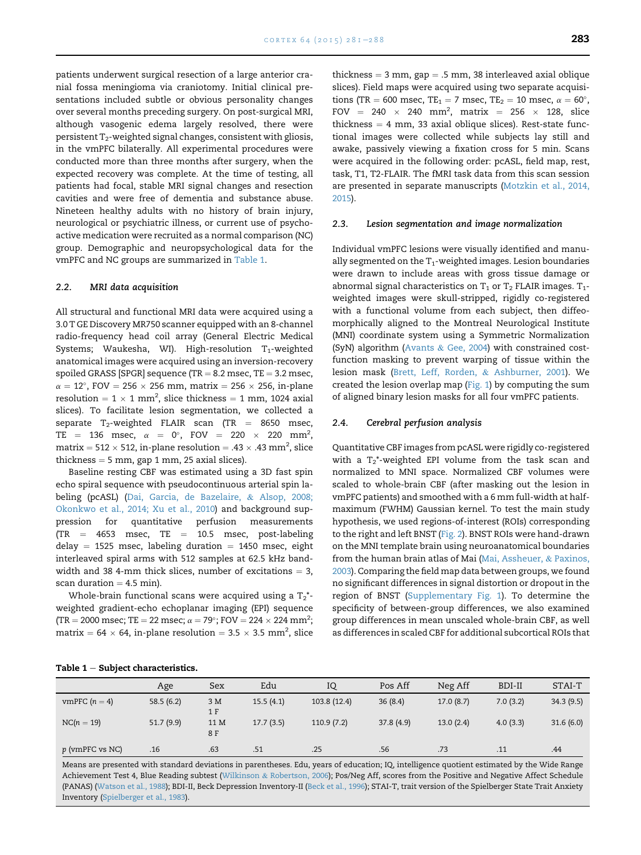patients underwent surgical resection of a large anterior cranial fossa meningioma via craniotomy. Initial clinical presentations included subtle or obvious personality changes over several months preceding surgery. On post-surgical MRI, although vasogenic edema largely resolved, there were persistent  $T_2$ -weighted signal changes, consistent with gliosis, in the vmPFC bilaterally. All experimental procedures were conducted more than three months after surgery, when the expected recovery was complete. At the time of testing, all patients had focal, stable MRI signal changes and resection cavities and were free of dementia and substance abuse. Nineteen healthy adults with no history of brain injury, neurological or psychiatric illness, or current use of psychoactive medication were recruited as a normal comparison (NC) group. Demographic and neuropsychological data for the vmPFC and NC groups are summarized in Table 1.

#### 2.2. MRI data acquisition

All structural and functional MRI data were acquired using a 3.0 T GE Discovery MR750 scanner equipped with an 8-channel radio-frequency head coil array (General Electric Medical Systems; Waukesha, WI). High-resolution  $T_1$ -weighted anatomical images were acquired using an inversion-recovery spoiled GRASS [SPGR] sequence (TR  $= 8.2$  msec, TE  $= 3.2$  msec,  $\alpha = 12^{\circ}$ , FOV  $= 256 \times 256$  mm, matrix  $= 256 \times 256$ , in-plane resolution =  $1 \times 1$  mm<sup>2</sup>, slice thickness = 1 mm, 1024 axial slices). To facilitate lesion segmentation, we collected a separate  $T_2$ -weighted FLAIR scan (TR = 8650 msec, TE = 136 msec,  $\alpha = 0^{\circ}$ , FOV = 220  $\times$  220 mm<sup>2</sup>, matrix = 512  $\times$  512, in-plane resolution = .43  $\times$  .43 mm<sup>2</sup>, slice thickness  $= 5$  mm, gap 1 mm, 25 axial slices).

Baseline resting CBF was estimated using a 3D fast spin echo spiral sequence with pseudocontinuous arterial spin labeling (pcASL) [\(Dai, Garcia, de Bazelaire,](#page-6-0) & [Alsop, 2008;](#page-6-0) [Okonkwo et al., 2014; Xu et al., 2010\)](#page-6-0) and background suppression for quantitative perfusion measurements  $(TR = 4653$  msec,  $TE = 10.5$  msec, post-labeling delay  $=$  1525 msec, labeling duration  $=$  1450 msec, eight interleaved spiral arms with 512 samples at 62.5 kHz bandwidth and 38 4-mm thick slices, number of excitations  $= 3$ , scan duration  $=$  4.5 min).

Whole-brain functional scans were acquired using a  $T_2^*$ weighted gradient-echo echoplanar imaging (EPI) sequence (TR = 2000 msec; TE = 22 msec;  $\alpha = 79^{\circ}$ ; FOV = 224  $\times$  224 mm<sup>2</sup>; matrix = 64  $\times$  64, in-plane resolution = 3.5  $\times$  3.5 mm<sup>2</sup>, slice

thickness  $=$  3 mm, gap  $=$  .5 mm, 38 interleaved axial oblique slices). Field maps were acquired using two separate acquisitions (TR = 600 msec, TE<sub>1</sub> = 7 msec, TE<sub>2</sub> = 10 msec,  $\alpha = 60^{\circ}$ , FOV = 240  $\times$  240 mm<sup>2</sup>, matrix = 256  $\times$  128, slice thickness  $= 4$  mm, 33 axial oblique slices). Rest-state functional images were collected while subjects lay still and awake, passively viewing a fixation cross for 5 min. Scans were acquired in the following order: pcASL, field map, rest, task, T1, T2-FLAIR. The fMRI task data from this scan session are presented in separate manuscripts [\(Motzkin et al., 2014,](#page-7-0) [2015](#page-7-0)).

#### 2.3. Lesion segmentation and image normalization

Individual vmPFC lesions were visually identified and manually segmented on the  $T_1$ -weighted images. Lesion boundaries were drawn to include areas with gross tissue damage or abnormal signal characteristics on  $T_1$  or  $T_2$  FLAIR images.  $T_1$ weighted images were skull-stripped, rigidly co-registered with a functional volume from each subject, then diffeomorphically aligned to the Montreal Neurological Institute (MNI) coordinate system using a Symmetric Normalization (SyN) algorithm [\(Avants](#page-6-0) & [Gee, 2004](#page-6-0)) with constrained costfunction masking to prevent warping of tissue within the lesion mask ([Brett, Leff, Rorden,](#page-6-0) & [Ashburner, 2001\)](#page-6-0). We created the lesion overlap map ([Fig. 1\)](#page-1-0) by computing the sum of aligned binary lesion masks for all four vmPFC patients.

#### 2.4. Cerebral perfusion analysis

Quantitative CBF images from pcASL were rigidly co-registered with a  $T_2^*$ -weighted EPI volume from the task scan and normalized to MNI space. Normalized CBF volumes were scaled to whole-brain CBF (after masking out the lesion in vmPFC patients) and smoothed with a 6 mm full-width at halfmaximum (FWHM) Gaussian kernel. To test the main study hypothesis, we used regions-of-interest (ROIs) corresponding to the right and left BNST ([Fig. 2\)](#page-3-0). BNST ROIs were hand-drawn on the MNI template brain using neuroanatomical boundaries from the human brain atlas of Mai ([Mai, Assheuer,](#page-7-0) & [Paxinos,](#page-7-0) [2003](#page-7-0)). Comparing the field map data between groups, we found no significant differences in signal distortion or dropout in the region of BNST (Supplementary Fig. 1). To determine the specificity of between-group differences, we also examined group differences in mean unscaled whole-brain CBF, as well as differences in scaled CBF for additional subcortical ROIs that

| Table $1$ $-$ Subject characteristics. |  |
|----------------------------------------|--|
|----------------------------------------|--|

|                 | Age       | Sex         | Edu       | IQ           | Pos Aff   | Neg Aff   | BDI-II   | STAI-T    |
|-----------------|-----------|-------------|-----------|--------------|-----------|-----------|----------|-----------|
| vmPFC $(n = 4)$ | 58.5(6.2) | 3 M<br>1 F  | 15.5(4.1) | 103.8 (12.4) | 36(8.4)   | 17.0(8.7) | 7.0(3.2) | 34.3(9.5) |
| $NC(n = 19)$    | 51.7(9.9) | 11 M<br>8 F | 17.7(3.5) | 110.9(7.2)   | 37.8(4.9) | 13.0(2.4) | 4.0(3.3) | 31.6(6.0) |
| p (vmPFC vs NC) | .16       | .63         | .51       | .25          | .56       | .73       | .11      | .44       |

Means are presented with standard deviations in parentheses. Edu, years of education; IQ, intelligence quotient estimated by the Wide Range Achievement Test 4, Blue Reading subtest [\(Wilkinson](#page-7-0) & [Robertson, 2006](#page-7-0)); Pos/Neg Aff, scores from the Positive and Negative Affect Schedule (PANAS) [\(Watson et al., 1988](#page-7-0)); BDI-II, Beck Depression Inventory-II ([Beck et al., 1996](#page-6-0)); STAI-T, trait version of the Spielberger State Trait Anxiety Inventory [\(Spielberger et al., 1983](#page-7-0)).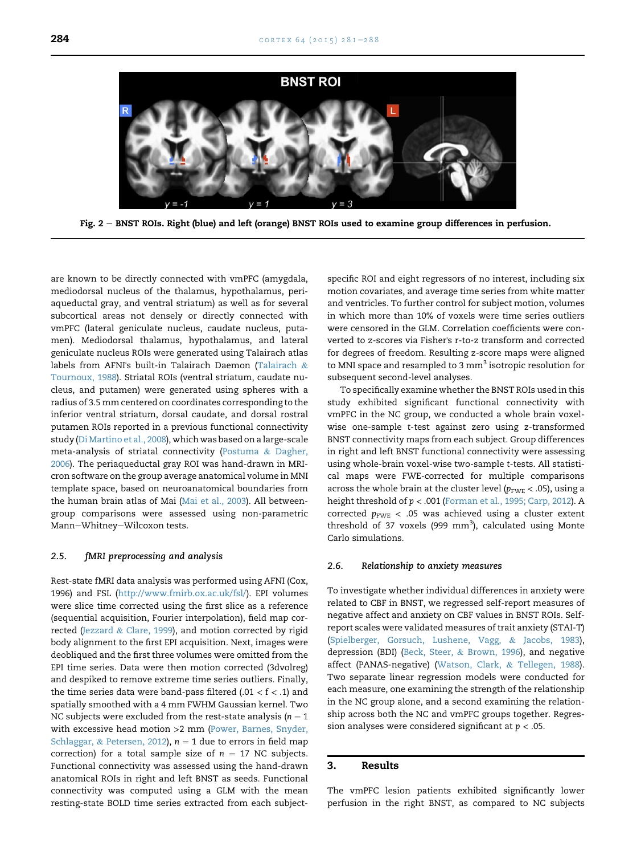<span id="page-3-0"></span>

Fig. 2 - BNST ROIs. Right (blue) and left (orange) BNST ROIs used to examine group differences in perfusion.

are known to be directly connected with vmPFC (amygdala, mediodorsal nucleus of the thalamus, hypothalamus, periaqueductal gray, and ventral striatum) as well as for several subcortical areas not densely or directly connected with vmPFC (lateral geniculate nucleus, caudate nucleus, putamen). Mediodorsal thalamus, hypothalamus, and lateral geniculate nucleus ROIs were generated using Talairach atlas labels from AFNI's built-in Talairach Daemon [\(Talairach](#page-7-0) & [Tournoux, 1988](#page-7-0)). Striatal ROIs (ventral striatum, caudate nucleus, and putamen) were generated using spheres with a radius of 3.5 mm centered on coordinates corresponding to the inferior ventral striatum, dorsal caudate, and dorsal rostral putamen ROIs reported in a previous functional connectivity study ([Di Martino et al., 2008](#page-6-0)), which was based on a large-scale meta-analysis of striatal connectivity ([Postuma](#page-7-0) & [Dagher,](#page-7-0) [2006\)](#page-7-0). The periaqueductal gray ROI was hand-drawn in MRIcron software on the group average anatomical volume in MNI template space, based on neuroanatomical boundaries from the human brain atlas of Mai [\(Mai et al., 2003\)](#page-7-0). All betweengroup comparisons were assessed using non-parametric Mann-Whitney-Wilcoxon tests.

#### 2.5. fMRI preprocessing and analysis

Rest-state fMRI data analysis was performed using AFNI (Cox, 1996) and FSL ([http://www.fmirb.ox.ac.uk/fsl/\)](http://www.fmirb.ox.ac.uk/fsl/). EPI volumes were slice time corrected using the first slice as a reference (sequential acquisition, Fourier interpolation), field map corrected [\(Jezzard](#page-7-0) & [Clare, 1999](#page-7-0)), and motion corrected by rigid body alignment to the first EPI acquisition. Next, images were deobliqued and the first three volumes were omitted from the EPI time series. Data were then motion corrected (3dvolreg) and despiked to remove extreme time series outliers. Finally, the time series data were band-pass filtered (.01 <  $f$  < .1) and spatially smoothed with a 4 mm FWHM Gaussian kernel. Two NC subjects were excluded from the rest-state analysis ( $n = 1$ ) with excessive head motion >2 mm ([Power, Barnes, Snyder,](#page-7-0) [Schlaggar,](#page-7-0) & [Petersen, 2012\)](#page-7-0),  $n = 1$  due to errors in field map correction) for a total sample size of  $n = 17$  NC subjects. Functional connectivity was assessed using the hand-drawn anatomical ROIs in right and left BNST as seeds. Functional connectivity was computed using a GLM with the mean resting-state BOLD time series extracted from each subjectspecific ROI and eight regressors of no interest, including six motion covariates, and average time series from white matter and ventricles. To further control for subject motion, volumes in which more than 10% of voxels were time series outliers were censored in the GLM. Correlation coefficients were converted to z-scores via Fisher's r-to-z transform and corrected for degrees of freedom. Resulting z-score maps were aligned to MNI space and resampled to 3 mm<sup>3</sup> isotropic resolution for subsequent second-level analyses.

To specifically examine whether the BNST ROIs used in this study exhibited significant functional connectivity with vmPFC in the NC group, we conducted a whole brain voxelwise one-sample t-test against zero using z-transformed BNST connectivity maps from each subject. Group differences in right and left BNST functional connectivity were assessing using whole-brain voxel-wise two-sample t-tests. All statistical maps were FWE-corrected for multiple comparisons across the whole brain at the cluster level ( $p_{\text{FWE}}$  < .05), using a height threshold of p < .001 ([Forman et al., 1995; Carp, 2012\)](#page-7-0). A corrected  $p_{\text{FWE}}$  < .05 was achieved using a cluster extent threshold of 37 voxels (999  $mm<sup>3</sup>$ ), calculated using Monte Carlo simulations.

#### 2.6. Relationship to anxiety measures

To investigate whether individual differences in anxiety were related to CBF in BNST, we regressed self-report measures of negative affect and anxiety on CBF values in BNST ROIs. Selfreport scales were validated measures of trait anxiety (STAI-T) ([Spielberger, Gorsuch, Lushene, Vagg,](#page-7-0) & [Jacobs, 1983\)](#page-7-0), depression (BDI) [\(Beck, Steer,](#page-6-0) & [Brown, 1996\)](#page-6-0), and negative affect (PANAS-negative) [\(Watson, Clark,](#page-7-0) & [Tellegen, 1988\)](#page-7-0). Two separate linear regression models were conducted for each measure, one examining the strength of the relationship in the NC group alone, and a second examining the relationship across both the NC and vmPFC groups together. Regression analyses were considered significant at  $p < .05$ .

#### 3. Results

The vmPFC lesion patients exhibited significantly lower perfusion in the right BNST, as compared to NC subjects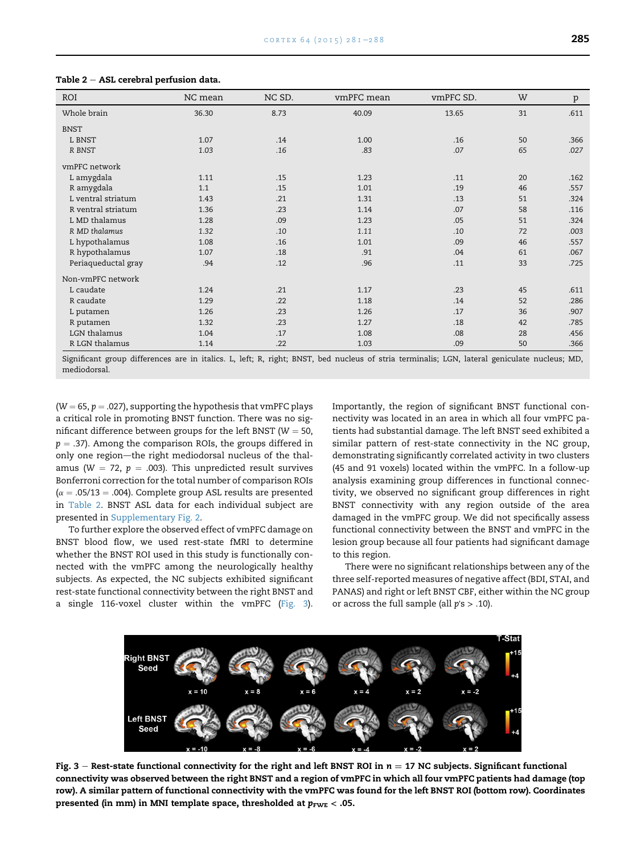| ROI                 | NC mean | NC SD. | vmPFC mean | vmPFC SD. | W  | $\mathbf{p}$ |
|---------------------|---------|--------|------------|-----------|----|--------------|
| Whole brain         | 36.30   | 8.73   | 40.09      | 13.65     | 31 | .611         |
| <b>BNST</b>         |         |        |            |           |    |              |
| L BNST              | 1.07    | .14    | 1.00       | .16       | 50 | .366         |
| R BNST              | 1.03    | .16    | .83        | .07       | 65 | .027         |
| ymPFC network       |         |        |            |           |    |              |
| L amygdala          | 1.11    | .15    | 1.23       | .11       | 20 | .162         |
| R amygdala          | 1.1     | .15    | 1.01       | .19       | 46 | .557         |
| L ventral striatum  | 1.43    | .21    | 1.31       | .13       | 51 | .324         |
| R ventral striatum  | 1.36    | .23    | 1.14       | .07       | 58 | .116         |
| L MD thalamus       | 1.28    | .09    | 1.23       | .05       | 51 | .324         |
| R MD thalamus       | 1.32    | .10    | 1.11       | .10       | 72 | .003         |
| L hypothalamus      | 1.08    | .16    | 1.01       | .09       | 46 | .557         |
| R hypothalamus      | 1.07    | .18    | .91        | .04       | 61 | .067         |
| Periaqueductal gray | .94     | .12    | .96        | .11       | 33 | .725         |
| Non-ymPFC network   |         |        |            |           |    |              |
| L caudate           | 1.24    | .21    | 1.17       | .23       | 45 | .611         |
| R caudate           | 1.29    | .22    | 1.18       | .14       | 52 | .286         |
| L putamen           | 1.26    | .23    | 1.26       | .17       | 36 | .907         |
| R putamen           | 1.32    | .23    | 1.27       | .18       | 42 | .785         |
| LGN thalamus        | 1.04    | .17    | 1.08       | .08       | 28 | .456         |
| R LGN thalamus      | 1.14    | .22    | 1.03       | .09       | 50 | .366         |

<span id="page-4-0"></span>Table  $2 - ASL$  cerebral perfusion data.

Significant group differences are in italics. L, left; R, right; BNST, bed nucleus of stria terminalis; LGN, lateral geniculate nucleus; MD, mediodorsal.

 $(W = 65, p = .027)$ , supporting the hypothesis that vmPFC plays a critical role in promoting BNST function. There was no significant difference between groups for the left BNST ( $W = 50$ ,  $p = .37$ ). Among the comparison ROIs, the groups differed in only one region-the right mediodorsal nucleus of the thalamus (W = 72,  $p = .003$ ). This unpredicted result survives Bonferroni correction for the total number of comparison ROIs  $(\alpha = .05/13 = .004)$ . Complete group ASL results are presented in Table 2. BNST ASL data for each individual subject are presented in Supplementary Fig. 2.

To further explore the observed effect of vmPFC damage on BNST blood flow, we used rest-state fMRI to determine whether the BNST ROI used in this study is functionally connected with the vmPFC among the neurologically healthy subjects. As expected, the NC subjects exhibited significant rest-state functional connectivity between the right BNST and a single 116-voxel cluster within the vmPFC (Fig. 3). Importantly, the region of significant BNST functional connectivity was located in an area in which all four vmPFC patients had substantial damage. The left BNST seed exhibited a similar pattern of rest-state connectivity in the NC group, demonstrating significantly correlated activity in two clusters (45 and 91 voxels) located within the vmPFC. In a follow-up analysis examining group differences in functional connectivity, we observed no significant group differences in right BNST connectivity with any region outside of the area damaged in the vmPFC group. We did not specifically assess functional connectivity between the BNST and vmPFC in the lesion group because all four patients had significant damage to this region.

There were no significant relationships between any of the three self-reported measures of negative affect (BDI, STAI, and PANAS) and right or left BNST CBF, either within the NC group or across the full sample (all  $p's > .10$ ).



Fig. 3 – Rest-state functional connectivity for the right and left BNST ROI in  $n = 17$  NC subjects. Significant functional connectivity was observed between the right BNST and a region of vmPFC in which all four vmPFC patients had damage (top row). A similar pattern of functional connectivity with the vmPFC was found for the left BNST ROI (bottom row). Coordinates presented (in mm) in MNI template space, thresholded at  $p_{\text{FWE}} < .05$ .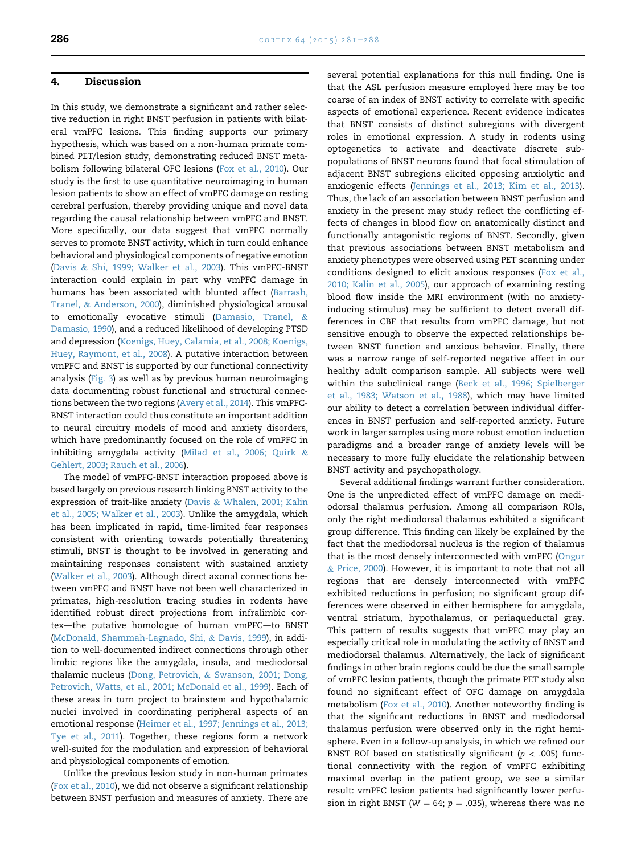#### 4. Discussion

In this study, we demonstrate a significant and rather selective reduction in right BNST perfusion in patients with bilateral vmPFC lesions. This finding supports our primary hypothesis, which was based on a non-human primate combined PET/lesion study, demonstrating reduced BNST metabolism following bilateral OFC lesions ([Fox et al., 2010\)](#page-7-0). Our study is the first to use quantitative neuroimaging in human lesion patients to show an effect of vmPFC damage on resting cerebral perfusion, thereby providing unique and novel data regarding the causal relationship between vmPFC and BNST. More specifically, our data suggest that vmPFC normally serves to promote BNST activity, which in turn could enhance behavioral and physiological components of negative emotion ([Davis](#page-6-0) & [Shi, 1999; Walker et al., 2003](#page-6-0)). This vmPFC-BNST interaction could explain in part why vmPFC damage in humans has been associated with blunted affect ([Barrash,](#page-6-0) [Tranel,](#page-6-0) & [Anderson, 2000](#page-6-0)), diminished physiological arousal to emotionally evocative stimuli [\(Damasio, Tranel,](#page-6-0) & [Damasio, 1990\)](#page-6-0), and a reduced likelihood of developing PTSD and depression ([Koenigs, Huey, Calamia, et al., 2008; Koenigs,](#page-7-0) [Huey, Raymont, et al., 2008\)](#page-7-0). A putative interaction between vmPFC and BNST is supported by our functional connectivity analysis [\(Fig. 3](#page-4-0)) as well as by previous human neuroimaging data documenting robust functional and structural connections between the two regions ([Avery et al., 2014](#page-6-0)). This vmPFC-BNST interaction could thus constitute an important addition to neural circuitry models of mood and anxiety disorders, which have predominantly focused on the role of vmPFC in inhibiting amygdala activity ([Milad et al., 2006; Quirk](#page-7-0) & [Gehlert, 2003; Rauch et al., 2006\)](#page-7-0).

The model of vmPFC-BNST interaction proposed above is based largely on previous research linking BNST activity to the expression of trait-like anxiety [\(Davis](#page-6-0) & [Whalen, 2001; Kalin](#page-6-0) [et al., 2005; Walker et al., 2003\)](#page-6-0). Unlike the amygdala, which has been implicated in rapid, time-limited fear responses consistent with orienting towards potentially threatening stimuli, BNST is thought to be involved in generating and maintaining responses consistent with sustained anxiety ([Walker et al., 2003\)](#page-7-0). Although direct axonal connections between vmPFC and BNST have not been well characterized in primates, high-resolution tracing studies in rodents have identified robust direct projections from infralimbic cortex-the putative homologue of human vmPFC-to BNST ([McDonald, Shammah-Lagnado, Shi,](#page-7-0) & [Davis, 1999\)](#page-7-0), in addition to well-documented indirect connections through other limbic regions like the amygdala, insula, and mediodorsal thalamic nucleus ([Dong, Petrovich,](#page-6-0) & [Swanson, 2001; Dong,](#page-6-0) [Petrovich, Watts, et al., 2001; McDonald et al., 1999\)](#page-6-0). Each of these areas in turn project to brainstem and hypothalamic nuclei involved in coordinating peripheral aspects of an emotional response [\(Heimer et al., 1997; Jennings et al., 2013;](#page-7-0) [Tye et al., 2011\)](#page-7-0). Together, these regions form a network well-suited for the modulation and expression of behavioral and physiological components of emotion.

Unlike the previous lesion study in non-human primates ([Fox et al., 2010\)](#page-7-0), we did not observe a significant relationship between BNST perfusion and measures of anxiety. There are several potential explanations for this null finding. One is that the ASL perfusion measure employed here may be too coarse of an index of BNST activity to correlate with specific aspects of emotional experience. Recent evidence indicates that BNST consists of distinct subregions with divergent roles in emotional expression. A study in rodents using optogenetics to activate and deactivate discrete subpopulations of BNST neurons found that focal stimulation of adjacent BNST subregions elicited opposing anxiolytic and anxiogenic effects ([Jennings et al., 2013; Kim et al., 2013\)](#page-7-0). Thus, the lack of an association between BNST perfusion and anxiety in the present may study reflect the conflicting effects of changes in blood flow on anatomically distinct and functionally antagonistic regions of BNST. Secondly, given that previous associations between BNST metabolism and anxiety phenotypes were observed using PET scanning under conditions designed to elicit anxious responses ([Fox et al.,](#page-7-0) [2010; Kalin et al., 2005\)](#page-7-0), our approach of examining resting blood flow inside the MRI environment (with no anxietyinducing stimulus) may be sufficient to detect overall differences in CBF that results from vmPFC damage, but not sensitive enough to observe the expected relationships between BNST function and anxious behavior. Finally, there was a narrow range of self-reported negative affect in our healthy adult comparison sample. All subjects were well within the subclinical range ([Beck et al., 1996; Spielberger](#page-6-0) [et al., 1983; Watson et al., 1988](#page-6-0)), which may have limited our ability to detect a correlation between individual differences in BNST perfusion and self-reported anxiety. Future work in larger samples using more robust emotion induction paradigms and a broader range of anxiety levels will be necessary to more fully elucidate the relationship between BNST activity and psychopathology.

Several additional findings warrant further consideration. One is the unpredicted effect of vmPFC damage on mediodorsal thalamus perfusion. Among all comparison ROIs, only the right mediodorsal thalamus exhibited a significant group difference. This finding can likely be explained by the fact that the mediodorsal nucleus is the region of thalamus that is the most densely interconnected with vmPFC ([Ongur](#page-7-0) & [Price, 2000](#page-7-0)). However, it is important to note that not all regions that are densely interconnected with vmPFC exhibited reductions in perfusion; no significant group differences were observed in either hemisphere for amygdala, ventral striatum, hypothalamus, or periaqueductal gray. This pattern of results suggests that vmPFC may play an especially critical role in modulating the activity of BNST and mediodorsal thalamus. Alternatively, the lack of significant findings in other brain regions could be due the small sample of vmPFC lesion patients, though the primate PET study also found no significant effect of OFC damage on amygdala metabolism [\(Fox et al., 2010](#page-7-0)). Another noteworthy finding is that the significant reductions in BNST and mediodorsal thalamus perfusion were observed only in the right hemisphere. Even in a follow-up analysis, in which we refined our BNST ROI based on statistically significant ( $p < .005$ ) functional connectivity with the region of vmPFC exhibiting maximal overlap in the patient group, we see a similar result: vmPFC lesion patients had significantly lower perfusion in right BNST (W = 64;  $p = .035$ ), whereas there was no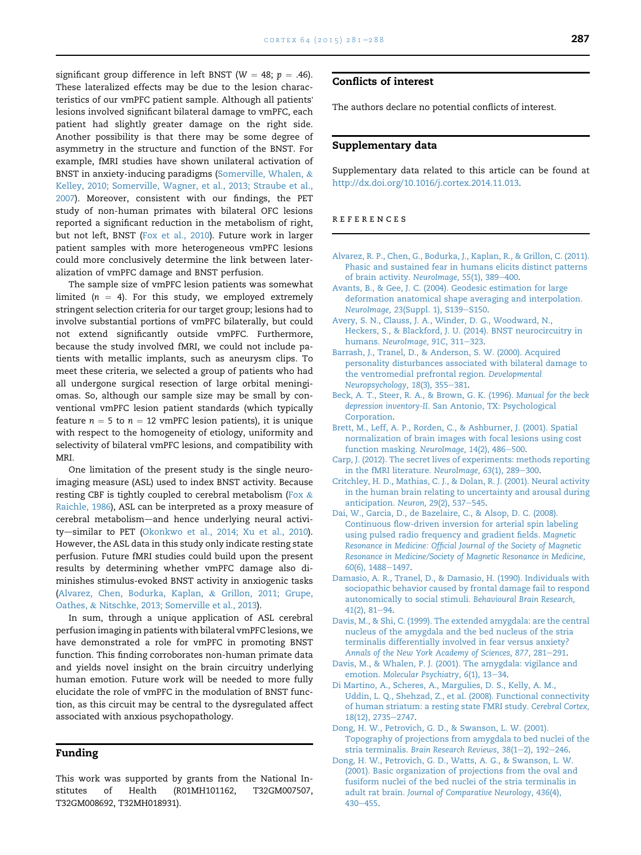<span id="page-6-0"></span>significant group difference in left BNST (W = 48;  $p = .46$ ). These lateralized effects may be due to the lesion characteristics of our vmPFC patient sample. Although all patients' lesions involved significant bilateral damage to vmPFC, each patient had slightly greater damage on the right side. Another possibility is that there may be some degree of asymmetry in the structure and function of the BNST. For example, fMRI studies have shown unilateral activation of BNST in anxiety-inducing paradigms ([Somerville, Whalen,](#page-7-0) & [Kelley, 2010; Somerville, Wagner, et al., 2013; Straube et al.,](#page-7-0) [2007\)](#page-7-0). Moreover, consistent with our findings, the PET study of non-human primates with bilateral OFC lesions reported a significant reduction in the metabolism of right, but not left, BNST ([Fox et al., 2010\)](#page-7-0). Future work in larger patient samples with more heterogeneous vmPFC lesions could more conclusively determine the link between lateralization of vmPFC damage and BNST perfusion.

The sample size of vmPFC lesion patients was somewhat limited ( $n = 4$ ). For this study, we employed extremely stringent selection criteria for our target group; lesions had to involve substantial portions of vmPFC bilaterally, but could not extend significantly outside vmPFC. Furthermore, because the study involved fMRI, we could not include patients with metallic implants, such as aneurysm clips. To meet these criteria, we selected a group of patients who had all undergone surgical resection of large orbital meningiomas. So, although our sample size may be small by conventional vmPFC lesion patient standards (which typically feature  $n = 5$  to  $n = 12$  vmPFC lesion patients), it is unique with respect to the homogeneity of etiology, uniformity and selectivity of bilateral vmPFC lesions, and compatibility with MRI.

One limitation of the present study is the single neuroimaging measure (ASL) used to index BNST activity. Because resting CBF is tightly coupled to cerebral metabolism [\(Fox](#page-7-0)  $\&$ [Raichle, 1986\)](#page-7-0), ASL can be interpreted as a proxy measure of cerebral metabolism-and hence underlying neural activi-ty-similar to PET ([Okonkwo et al., 2014; Xu et al., 2010](#page-7-0)). However, the ASL data in this study only indicate resting state perfusion. Future fMRI studies could build upon the present results by determining whether vmPFC damage also diminishes stimulus-evoked BNST activity in anxiogenic tasks (Alvarez, Chen, Bodurka, Kaplan, & Grillon, 2011; Grupe, Oathes, & Nitschke, 2013; Somerville et al., 2013).

In sum, through a unique application of ASL cerebral perfusion imaging in patients with bilateral vmPFC lesions, we have demonstrated a role for vmPFC in promoting BNST function. This finding corroborates non-human primate data and yields novel insight on the brain circuitry underlying human emotion. Future work will be needed to more fully elucidate the role of vmPFC in the modulation of BNST function, as this circuit may be central to the dysregulated affect associated with anxious psychopathology.

### Funding

This work was supported by grants from the National Institutes of Health (R01MH101162, T32GM007507, T32GM008692, T32MH018931).

## Conflicts of interest

The authors declare no potential conflicts of interest.

### Supplementary data

Supplementary data related to this article can be found at <http://dx.doi.org/10.1016/j.cortex.2014.11.013>.

#### references

- [Alvarez, R. P., Chen, G., Bodurka, J., Kaplan, R., & Grillon, C. \(2011\).](http://refhub.elsevier.com/S0010-9452(14)00382-7/sref1) [Phasic and sustained fear in humans elicits distinct patterns](http://refhub.elsevier.com/S0010-9452(14)00382-7/sref1) [of brain activity.](http://refhub.elsevier.com/S0010-9452(14)00382-7/sref1) NeuroImage, 55(1), 389-[400.](http://refhub.elsevier.com/S0010-9452(14)00382-7/sref1)
- [Avants, B., & Gee, J. C. \(2004\). Geodesic estimation for large](http://refhub.elsevier.com/S0010-9452(14)00382-7/sref2) [deformation anatomical shape averaging and interpolation.](http://refhub.elsevier.com/S0010-9452(14)00382-7/sref2) NeuroImage, 23[\(Suppl. 1\), S139](http://refhub.elsevier.com/S0010-9452(14)00382-7/sref2)-[S150.](http://refhub.elsevier.com/S0010-9452(14)00382-7/sref2)
- [Avery, S. N., Clauss, J. A., Winder, D. G., Woodward, N.,](http://refhub.elsevier.com/S0010-9452(14)00382-7/sref3) [Heckers, S., & Blackford, J. U. \(2014\). BNST neurocircuitry in](http://refhub.elsevier.com/S0010-9452(14)00382-7/sref3) humans. [NeuroImage, 91C](http://refhub.elsevier.com/S0010-9452(14)00382-7/sref3), 311-[323](http://refhub.elsevier.com/S0010-9452(14)00382-7/sref3).
- [Barrash, J., Tranel, D., & Anderson, S. W. \(2000\). Acquired](http://refhub.elsevier.com/S0010-9452(14)00382-7/sref4) [personality disturbances associated with bilateral damage to](http://refhub.elsevier.com/S0010-9452(14)00382-7/sref4) [the ventromedial prefrontal region.](http://refhub.elsevier.com/S0010-9452(14)00382-7/sref4) Developmental [Neuropsychology, 18](http://refhub.elsevier.com/S0010-9452(14)00382-7/sref4)(3), 355-[381.](http://refhub.elsevier.com/S0010-9452(14)00382-7/sref4)
- [Beck, A. T., Steer, R. A., & Brown, G. K. \(1996\).](http://refhub.elsevier.com/S0010-9452(14)00382-7/sref5) Manual for the beck depression inventory-II[. San Antonio, TX: Psychological](http://refhub.elsevier.com/S0010-9452(14)00382-7/sref5) [Corporation.](http://refhub.elsevier.com/S0010-9452(14)00382-7/sref5)
- [Brett, M., Leff, A. P., Rorden, C., & Ashburner, J. \(2001\). Spatial](http://refhub.elsevier.com/S0010-9452(14)00382-7/sref6) [normalization of brain images with focal lesions using cost](http://refhub.elsevier.com/S0010-9452(14)00382-7/sref6) [function masking.](http://refhub.elsevier.com/S0010-9452(14)00382-7/sref6) NeuroImage, 14(2), 486-[500.](http://refhub.elsevier.com/S0010-9452(14)00382-7/sref6)
- [Carp, J. \(2012\). The secret lives of experiments: methods reporting](http://refhub.elsevier.com/S0010-9452(14)00382-7/sref7) [in the fMRI literature.](http://refhub.elsevier.com/S0010-9452(14)00382-7/sref7) NeuroImage,  $63(1)$ ,  $289-300$ .
- [Critchley, H. D., Mathias, C. J., & Dolan, R. J. \(2001\). Neural activity](http://refhub.elsevier.com/S0010-9452(14)00382-7/sref8) [in the human brain relating to uncertainty and arousal during](http://refhub.elsevier.com/S0010-9452(14)00382-7/sref8) [anticipation.](http://refhub.elsevier.com/S0010-9452(14)00382-7/sref8) Neuron, 29(2), 537-[545](http://refhub.elsevier.com/S0010-9452(14)00382-7/sref8).
- [Dai, W., Garcia, D., de Bazelaire, C., & Alsop, D. C. \(2008\).](http://refhub.elsevier.com/S0010-9452(14)00382-7/sref9) [Continuous flow-driven inversion for arterial spin labeling](http://refhub.elsevier.com/S0010-9452(14)00382-7/sref9) [using pulsed radio frequency and gradient fields.](http://refhub.elsevier.com/S0010-9452(14)00382-7/sref9) Magnetic [Resonance in Medicine: Official Journal of the Society of Magnetic](http://refhub.elsevier.com/S0010-9452(14)00382-7/sref9) [Resonance in Medicine/Society of Magnetic Resonance in Medicine,](http://refhub.elsevier.com/S0010-9452(14)00382-7/sref9) 60[\(6\), 1488](http://refhub.elsevier.com/S0010-9452(14)00382-7/sref9)-[1497](http://refhub.elsevier.com/S0010-9452(14)00382-7/sref9).
- [Damasio, A. R., Tranel, D., & Damasio, H. \(1990\). Individuals with](http://refhub.elsevier.com/S0010-9452(14)00382-7/sref10) [sociopathic behavior caused by frontal damage fail to respond](http://refhub.elsevier.com/S0010-9452(14)00382-7/sref10) [autonomically to social stimuli.](http://refhub.elsevier.com/S0010-9452(14)00382-7/sref10) Behavioural Brain Research,  $41(2)$ ,  $81-94$ .
- [Davis, M., & Shi, C. \(1999\). The extended amygdala: are the central](http://refhub.elsevier.com/S0010-9452(14)00382-7/sref11) [nucleus of the amygdala and the bed nucleus of the stria](http://refhub.elsevier.com/S0010-9452(14)00382-7/sref11) [terminalis differentially involved in fear versus anxiety?](http://refhub.elsevier.com/S0010-9452(14)00382-7/sref11) [Annals of the New York Academy of Sciences, 877](http://refhub.elsevier.com/S0010-9452(14)00382-7/sref11), 281-[291](http://refhub.elsevier.com/S0010-9452(14)00382-7/sref11).
- [Davis, M., & Whalen, P. J. \(2001\). The amygdala: vigilance and](http://refhub.elsevier.com/S0010-9452(14)00382-7/sref12) emotion. [Molecular Psychiatry, 6](http://refhub.elsevier.com/S0010-9452(14)00382-7/sref12)(1), 13-[34.](http://refhub.elsevier.com/S0010-9452(14)00382-7/sref12)
- [Di Martino, A., Scheres, A., Margulies, D. S., Kelly, A. M.,](http://refhub.elsevier.com/S0010-9452(14)00382-7/sref13) [Uddin, L. Q., Shehzad, Z., et al. \(2008\). Functional connectivity](http://refhub.elsevier.com/S0010-9452(14)00382-7/sref13) [of human striatum: a resting state FMRI study.](http://refhub.elsevier.com/S0010-9452(14)00382-7/sref13) Cerebral Cortex, 18[\(12\), 2735](http://refhub.elsevier.com/S0010-9452(14)00382-7/sref13)-[2747](http://refhub.elsevier.com/S0010-9452(14)00382-7/sref13).
- [Dong, H. W., Petrovich, G. D., & Swanson, L. W. \(2001\).](http://refhub.elsevier.com/S0010-9452(14)00382-7/sref14) [Topography of projections from amygdala to bed nuclei of the](http://refhub.elsevier.com/S0010-9452(14)00382-7/sref14) stria terminalis. Brain Research Reviews,  $38(1-2)$ ,  $192-246$  $192-246$ .
- [Dong, H. W., Petrovich, G. D., Watts, A. G., & Swanson, L. W.](http://refhub.elsevier.com/S0010-9452(14)00382-7/sref15) [\(2001\). Basic organization of projections from the oval and](http://refhub.elsevier.com/S0010-9452(14)00382-7/sref15) [fusiform nuclei of the bed nuclei of the stria terminalis in](http://refhub.elsevier.com/S0010-9452(14)00382-7/sref15) adult rat brain. [Journal of Comparative Neurology, 436](http://refhub.elsevier.com/S0010-9452(14)00382-7/sref15)(4),  $430 - 455$  $430 - 455$  $430 - 455$ .